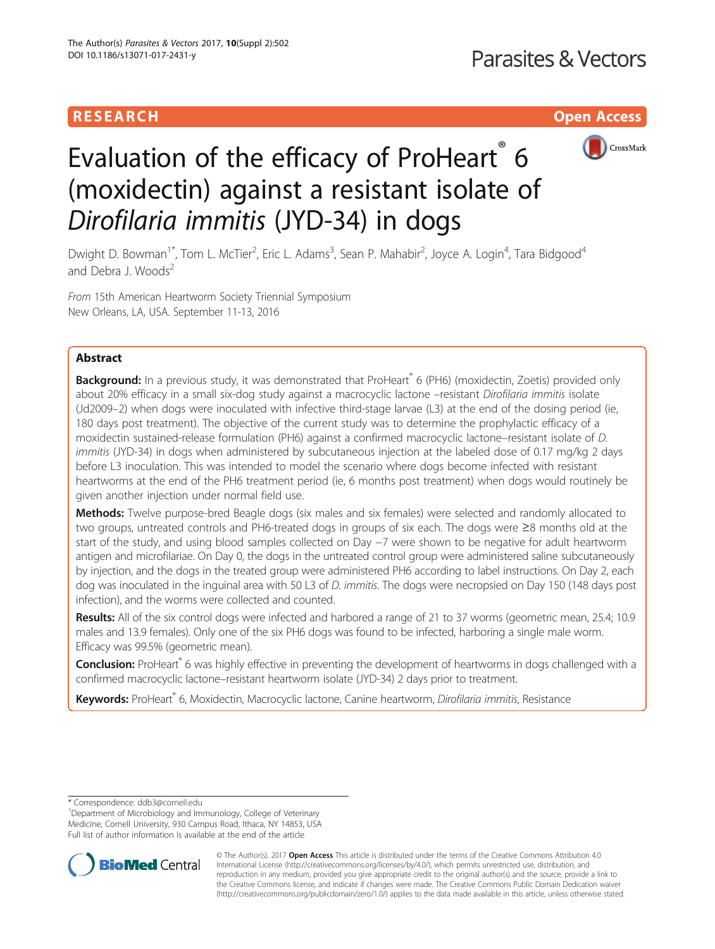# **RESEARCH CHING CONSUMING CONSUMING CONSUMING CONSUMING CONSUMING CONSUMING CONSUMING CONSUMING CONSUMING CONSUMING CONSUMING CONSUMING CONSUMING CONSUMING CONSUMING CONSUMING CONSUMING CONSUMING CONSUMING CONSUMING CONS**



# Evaluation of the efficacy of ProHeart<sup>®</sup> 6 (moxidectin) against a resistant isolate of Dirofilaria immitis (JYD-34) in dogs

Dwight D. Bowman<sup>1\*</sup>, Tom L. McTier<sup>2</sup>, Eric L. Adams<sup>3</sup>, Sean P. Mahabir<sup>2</sup>, Joyce A. Login<sup>4</sup>, Tara Bidgood<sup>4</sup> and Debra J. Woods<sup>2</sup>

From 15th American Heartworm Society Triennial Symposium New Orleans, LA, USA. September 11-13, 2016

# Abstract

Background: In a previous study, it was demonstrated that ProHeart® 6 (PH6) (moxidectin, Zoetis) provided only about 20% efficacy in a small six-dog study against a macrocyclic lactone –resistant Dirofilaria immitis isolate (Jd2009–2) when dogs were inoculated with infective third-stage larvae (L3) at the end of the dosing period (ie, 180 days post treatment). The objective of the current study was to determine the prophylactic efficacy of a moxidectin sustained-release formulation (PH6) against a confirmed macrocyclic lactone–resistant isolate of D. immitis (JYD-34) in dogs when administered by subcutaneous injection at the labeled dose of 0.17 mg/kg 2 days before L3 inoculation. This was intended to model the scenario where dogs become infected with resistant heartworms at the end of the PH6 treatment period (ie, 6 months post treatment) when dogs would routinely be given another injection under normal field use.

Methods: Twelve purpose-bred Beagle dogs (six males and six females) were selected and randomly allocated to two groups, untreated controls and PH6-treated dogs in groups of six each. The dogs were ≥8 months old at the start of the study, and using blood samples collected on Day −7 were shown to be negative for adult heartworm antigen and microfilariae. On Day 0, the dogs in the untreated control group were administered saline subcutaneously by injection, and the dogs in the treated group were administered PH6 according to label instructions. On Day 2, each dog was inoculated in the inguinal area with 50 L3 of D. immitis. The dogs were necropsied on Day 150 (148 days post infection), and the worms were collected and counted.

Results: All of the six control dogs were infected and harbored a range of 21 to 37 worms (geometric mean, 25.4; 10.9 males and 13.9 females). Only one of the six PH6 dogs was found to be infected, harboring a single male worm. Efficacy was 99.5% (geometric mean).

Conclusion: ProHeart® 6 was highly effective in preventing the development of heartworms in dogs challenged with a confirmed macrocyclic lactone–resistant heartworm isolate (JYD-34) 2 days prior to treatment.

Keywords: ProHeart® 6, Moxidectin, Macrocyclic lactone, Canine heartworm, Dirofilaria immitis, Resistance

\* Correspondence: [ddb3@cornell.edu](mailto:ddb3@cornell.edu) <sup>1</sup>

Department of Microbiology and Immunology, College of Veterinary Medicine, Cornell University, 930 Campus Road, Ithaca, NY 14853, USA Full list of author information is available at the end of the article



© The Author(s). 2017 **Open Access** This article is distributed under the terms of the Creative Commons Attribution 4.0 International License [\(http://creativecommons.org/licenses/by/4.0/](http://creativecommons.org/licenses/by/4.0/)), which permits unrestricted use, distribution, and reproduction in any medium, provided you give appropriate credit to the original author(s) and the source, provide a link to the Creative Commons license, and indicate if changes were made. The Creative Commons Public Domain Dedication waiver [\(http://creativecommons.org/publicdomain/zero/1.0/](http://creativecommons.org/publicdomain/zero/1.0/)) applies to the data made available in this article, unless otherwise stated.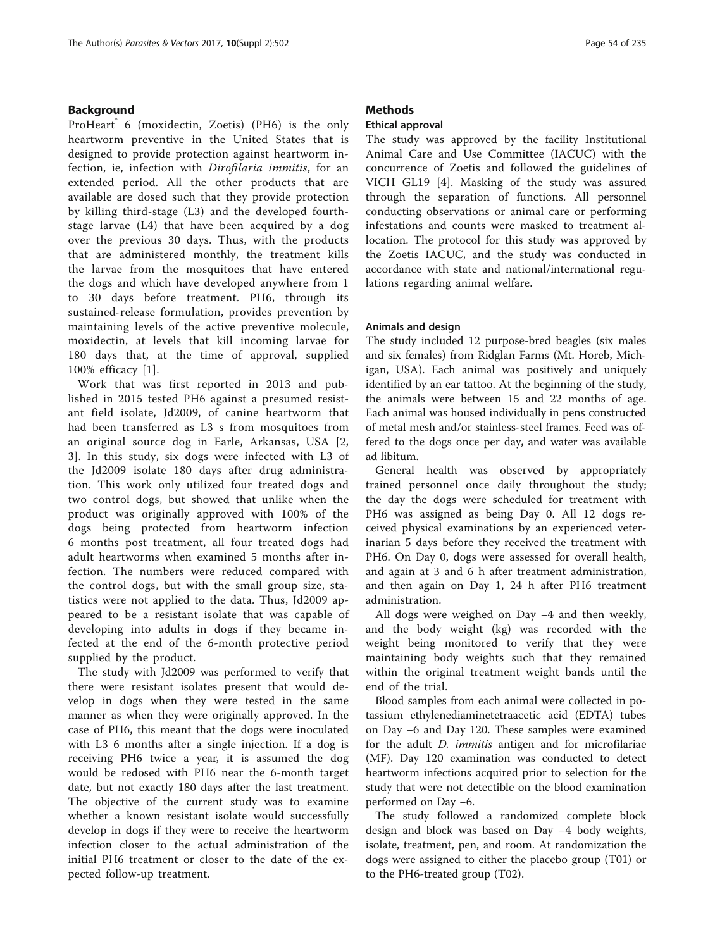# Background

ProHeart<sup>®</sup> 6 (moxidectin, Zoetis) (PH6) is the only heartworm preventive in the United States that is designed to provide protection against heartworm infection, ie, infection with Dirofilaria immitis, for an extended period. All the other products that are available are dosed such that they provide protection by killing third-stage (L3) and the developed fourthstage larvae (L4) that have been acquired by a dog over the previous 30 days. Thus, with the products that are administered monthly, the treatment kills the larvae from the mosquitoes that have entered the dogs and which have developed anywhere from 1 to 30 days before treatment. PH6, through its sustained-release formulation, provides prevention by maintaining levels of the active preventive molecule, moxidectin, at levels that kill incoming larvae for 180 days that, at the time of approval, supplied 100% efficacy [[1](#page-4-0)].

Work that was first reported in 2013 and published in 2015 tested PH6 against a presumed resistant field isolate, Jd2009, of canine heartworm that had been transferred as L3 s from mosquitoes from an original source dog in Earle, Arkansas, USA [\[2](#page-4-0), [3\]](#page-4-0). In this study, six dogs were infected with L3 of the Jd2009 isolate 180 days after drug administration. This work only utilized four treated dogs and two control dogs, but showed that unlike when the product was originally approved with 100% of the dogs being protected from heartworm infection 6 months post treatment, all four treated dogs had adult heartworms when examined 5 months after infection. The numbers were reduced compared with the control dogs, but with the small group size, statistics were not applied to the data. Thus, Jd2009 appeared to be a resistant isolate that was capable of developing into adults in dogs if they became infected at the end of the 6-month protective period supplied by the product.

The study with Jd2009 was performed to verify that there were resistant isolates present that would develop in dogs when they were tested in the same manner as when they were originally approved. In the case of PH6, this meant that the dogs were inoculated with L3 6 months after a single injection. If a dog is receiving PH6 twice a year, it is assumed the dog would be redosed with PH6 near the 6-month target date, but not exactly 180 days after the last treatment. The objective of the current study was to examine whether a known resistant isolate would successfully develop in dogs if they were to receive the heartworm infection closer to the actual administration of the initial PH6 treatment or closer to the date of the expected follow-up treatment.

# **Methods**

# Ethical approval

The study was approved by the facility Institutional Animal Care and Use Committee (IACUC) with the concurrence of Zoetis and followed the guidelines of VICH GL19 [\[4](#page-4-0)]. Masking of the study was assured through the separation of functions. All personnel conducting observations or animal care or performing infestations and counts were masked to treatment allocation. The protocol for this study was approved by the Zoetis IACUC, and the study was conducted in accordance with state and national/international regulations regarding animal welfare.

# Animals and design

The study included 12 purpose-bred beagles (six males and six females) from Ridglan Farms (Mt. Horeb, Michigan, USA). Each animal was positively and uniquely identified by an ear tattoo. At the beginning of the study, the animals were between 15 and 22 months of age. Each animal was housed individually in pens constructed of metal mesh and/or stainless-steel frames. Feed was offered to the dogs once per day, and water was available ad libitum.

General health was observed by appropriately trained personnel once daily throughout the study; the day the dogs were scheduled for treatment with PH6 was assigned as being Day 0. All 12 dogs received physical examinations by an experienced veterinarian 5 days before they received the treatment with PH6. On Day 0, dogs were assessed for overall health, and again at 3 and 6 h after treatment administration, and then again on Day 1, 24 h after PH6 treatment administration.

All dogs were weighed on Day −4 and then weekly, and the body weight (kg) was recorded with the weight being monitored to verify that they were maintaining body weights such that they remained within the original treatment weight bands until the end of the trial.

Blood samples from each animal were collected in potassium ethylenediaminetetraacetic acid (EDTA) tubes on Day −6 and Day 120. These samples were examined for the adult *D. immitis* antigen and for microfilariae (MF). Day 120 examination was conducted to detect heartworm infections acquired prior to selection for the study that were not detectible on the blood examination performed on Day −6.

The study followed a randomized complete block design and block was based on Day −4 body weights, isolate, treatment, pen, and room. At randomization the dogs were assigned to either the placebo group (T01) or to the PH6-treated group (T02).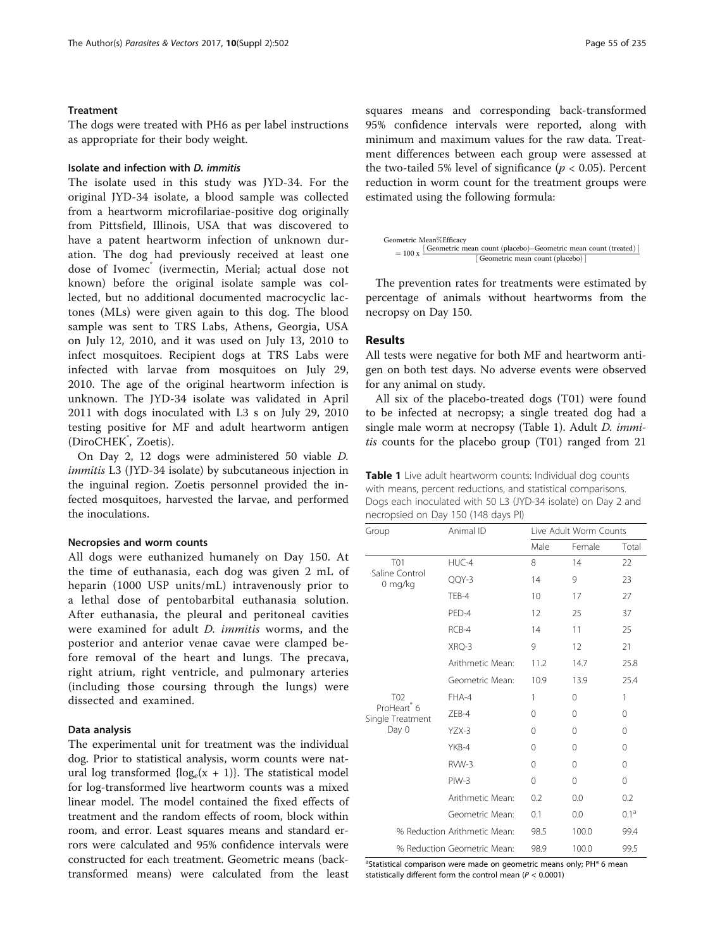# Treatment

The dogs were treated with PH6 as per label instructions as appropriate for their body weight.

# Isolate and infection with D. immitis

The isolate used in this study was JYD-34. For the original JYD-34 isolate, a blood sample was collected from a heartworm microfilariae-positive dog originally from Pittsfield, Illinois, USA that was discovered to have a patent heartworm infection of unknown duration. The dog had previously received at least one dose of Ivomec<sup>®</sup> (ivermectin, Merial; actual dose not known) before the original isolate sample was collected, but no additional documented macrocyclic lactones (MLs) were given again to this dog. The blood sample was sent to TRS Labs, Athens, Georgia, USA on July 12, 2010, and it was used on July 13, 2010 to infect mosquitoes. Recipient dogs at TRS Labs were infected with larvae from mosquitoes on July 29, 2010. The age of the original heartworm infection is unknown. The JYD-34 isolate was validated in April 2011 with dogs inoculated with L3 s on July 29, 2010 testing positive for MF and adult heartworm antigen (DiroCHEK<sup>®</sup>, Zoetis).

On Day 2, 12 dogs were administered 50 viable D. immitis L3 (JYD-34 isolate) by subcutaneous injection in the inguinal region. Zoetis personnel provided the infected mosquitoes, harvested the larvae, and performed the inoculations.

### Necropsies and worm counts

All dogs were euthanized humanely on Day 150. At the time of euthanasia, each dog was given 2 mL of heparin (1000 USP units/mL) intravenously prior to a lethal dose of pentobarbital euthanasia solution. After euthanasia, the pleural and peritoneal cavities were examined for adult D. immitis worms, and the posterior and anterior venae cavae were clamped before removal of the heart and lungs. The precava, right atrium, right ventricle, and pulmonary arteries (including those coursing through the lungs) were dissected and examined.

## Data analysis

The experimental unit for treatment was the individual dog. Prior to statistical analysis, worm counts were natural log transformed  $\{ \log_e(x + 1) \}$ . The statistical model for log-transformed live heartworm counts was a mixed linear model. The model contained the fixed effects of treatment and the random effects of room, block within room, and error. Least squares means and standard errors were calculated and 95% confidence intervals were constructed for each treatment. Geometric means (backtransformed means) were calculated from the least squares means and corresponding back-transformed 95% confidence intervals were reported, along with minimum and maximum values for the raw data. Treatment differences between each group were assessed at the two-tailed 5% level of significance ( $p < 0.05$ ). Percent reduction in worm count for the treatment groups were estimated using the following formula:



The prevention rates for treatments were estimated by percentage of animals without heartworms from the necropsy on Day 150.

# Results

All tests were negative for both MF and heartworm antigen on both test days. No adverse events were observed for any animal on study.

All six of the placebo-treated dogs (T01) were found to be infected at necropsy; a single treated dog had a single male worm at necropsy (Table 1). Adult *D. immi*tis counts for the placebo group (T01) ranged from 21

Table 1 Live adult heartworm counts: Individual dog counts with means, percent reductions, and statistical comparisons. Dogs each inoculated with 50 L3 (JYD-34 isolate) on Day 2 and necropsied on Day 150 (148 days PI)

| Group                                                                   | Animal ID        | Live Adult Worm Counts |          |                  |
|-------------------------------------------------------------------------|------------------|------------------------|----------|------------------|
|                                                                         |                  | Male                   | Female   | Total            |
| <b>T01</b><br>Saline Control<br>0 mg/kg                                 | HUC-4            | 8                      | 14       | 22               |
|                                                                         | QQY-3            | 14                     | 9        | 23               |
|                                                                         | TEB-4            | 10                     | 17       | 27               |
|                                                                         | PFD-4            | 12                     | 25       | 37               |
|                                                                         | RCB-4            | 14                     | 11       | 25               |
|                                                                         | XRQ-3            | 9                      | 12       | 21               |
|                                                                         | Arithmetic Mean: | 11.2                   | 14.7     | 25.8             |
|                                                                         | Geometric Mean:  | 10.9                   | 13.9     | 25.4             |
| T <sub>02</sub><br>ProHeart <sup>®</sup> 6<br>Single Treatment<br>Day 0 | FHA-4            | 1                      | 0        | 1                |
|                                                                         | <b>7FB-4</b>     | $\Omega$               | 0        | $\Omega$         |
|                                                                         | $YZX-3$          | $\Omega$               | $\Omega$ | $\Omega$         |
|                                                                         | YKB-4            | $\Omega$               | $\Omega$ | $\Omega$         |
|                                                                         | RVW-3            | $\Omega$               | $\Omega$ | $\Omega$         |
|                                                                         | $PIW-3$          | 0                      | 0        | 0                |
|                                                                         | Arithmetic Mean: | 0.2                    | 0.0      | 0.2              |
|                                                                         | Geometric Mean:  | 0.1                    | 0.0      | $0.1^{\text{a}}$ |
| % Reduction Arithmetic Mean:                                            |                  | 98.5                   | 100.0    | 99.4             |
| % Reduction Geometric Mean:                                             | 98.9             | 100.0                  | 99.5     |                  |

<sup>a</sup>Statistical comparison were made on geometric means only; PH® 6 mean statistically different form the control mean ( $P < 0.0001$ )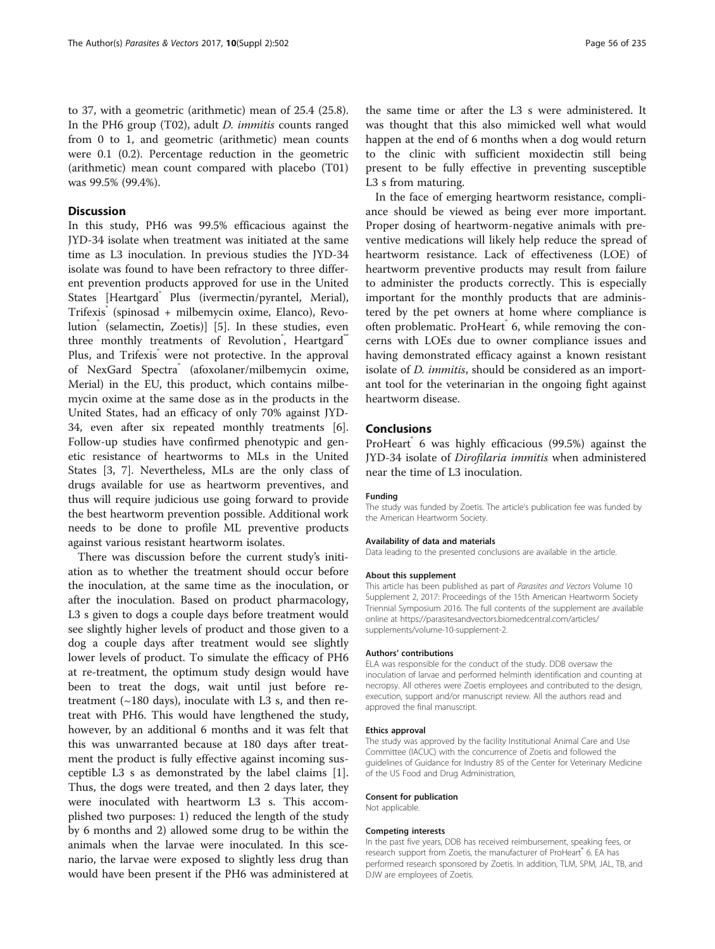to 37, with a geometric (arithmetic) mean of 25.4 (25.8). In the PH6 group (T02), adult D. immitis counts ranged from 0 to 1, and geometric (arithmetic) mean counts were 0.1 (0.2). Percentage reduction in the geometric (arithmetic) mean count compared with placebo (T01) was 99.5% (99.4%).

# **Discussion**

In this study, PH6 was 99.5% efficacious against the JYD-34 isolate when treatment was initiated at the same time as L3 inoculation. In previous studies the JYD-34 isolate was found to have been refractory to three different prevention products approved for use in the United States [Heartgard<sup>"</sup> Plus (ivermectin/pyrantel, Merial), Trifexis® (spinosad + milbemycin oxime, Elanco), Revo-lution<sup>®</sup> (selamectin, Zoetis)] [\[5](#page-4-0)]. In these studies, even three monthly treatments of Revolution<sup>\*</sup>, Heartgard<sup>\*\*</sup> Plus, and Trifexis<sup>®</sup> were not protective. In the approval of NexGard Spectra® (afoxolaner/milbemycin oxime, Merial) in the EU, this product, which contains milbemycin oxime at the same dose as in the products in the United States, had an efficacy of only 70% against JYD-34, even after six repeated monthly treatments [\[6](#page-4-0)]. Follow-up studies have confirmed phenotypic and genetic resistance of heartworms to MLs in the United States [[3, 7](#page-4-0)]. Nevertheless, MLs are the only class of drugs available for use as heartworm preventives, and thus will require judicious use going forward to provide the best heartworm prevention possible. Additional work needs to be done to profile ML preventive products against various resistant heartworm isolates.

There was discussion before the current study's initiation as to whether the treatment should occur before the inoculation, at the same time as the inoculation, or after the inoculation. Based on product pharmacology, L3 s given to dogs a couple days before treatment would see slightly higher levels of product and those given to a dog a couple days after treatment would see slightly lower levels of product. To simulate the efficacy of PH6 at re-treatment, the optimum study design would have been to treat the dogs, wait until just before retreatment  $(\sim 180 \text{ days})$ , inoculate with L3 s, and then retreat with PH6. This would have lengthened the study, however, by an additional 6 months and it was felt that this was unwarranted because at 180 days after treatment the product is fully effective against incoming susceptible L3 s as demonstrated by the label claims [\[1](#page-4-0)]. Thus, the dogs were treated, and then 2 days later, they were inoculated with heartworm L3 s. This accomplished two purposes: 1) reduced the length of the study by 6 months and 2) allowed some drug to be within the animals when the larvae were inoculated. In this scenario, the larvae were exposed to slightly less drug than would have been present if the PH6 was administered at

the same time or after the L3 s were administered. It was thought that this also mimicked well what would happen at the end of 6 months when a dog would return to the clinic with sufficient moxidectin still being present to be fully effective in preventing susceptible L3 s from maturing.

In the face of emerging heartworm resistance, compliance should be viewed as being ever more important. Proper dosing of heartworm-negative animals with preventive medications will likely help reduce the spread of heartworm resistance. Lack of effectiveness (LOE) of heartworm preventive products may result from failure to administer the products correctly. This is especially important for the monthly products that are administered by the pet owners at home where compliance is often problematic. ProHeart 6, while removing the concerns with LOEs due to owner compliance issues and having demonstrated efficacy against a known resistant isolate of *D. immitis*, should be considered as an important tool for the veterinarian in the ongoing fight against heartworm disease.

# Conclusions

ProHeart<sup>®</sup> 6 was highly efficacious (99.5%) against the JYD-34 isolate of Dirofilaria immitis when administered near the time of L3 inoculation.

#### Funding

The study was funded by Zoetis. The article's publication fee was funded by the American Heartworm Society.

#### Availability of data and materials

Data leading to the presented conclusions are available in the article.

#### About this supplement

This article has been published as part of Parasites and Vectors Volume 10 Supplement 2, 2017: Proceedings of the 15th American Heartworm Society Triennial Symposium 2016. The full contents of the supplement are available online at [https://parasitesandvectors.biomedcentral.com/articles/](https://parasitesandvectors.biomedcentral.com/articles/supplements/volume-10-supplement-2) [supplements/volume-10-supplement-2.](https://parasitesandvectors.biomedcentral.com/articles/supplements/volume-10-supplement-2)

#### Authors' contributions

ELA was responsible for the conduct of the study. DDB oversaw the inoculation of larvae and performed helminth identification and counting at necropsy. All otheres were Zoetis employees and contributed to the design, execution, support and/or manuscript review. All the authors read and approved the final manuscript.

#### Ethics approval

The study was approved by the facility Institutional Animal Care and Use Committee (IACUC) with the concurrence of Zoetis and followed the guidelines of Guidance for Industry 85 of the Center for Veterinary Medicine of the US Food and Drug Administration,

#### Consent for publication

Not applicable.

#### Competing interests

In the past five years, DDB has received reimbursement, speaking fees, or research support from Zoetis, the manufacturer of ProHeart® 6. EA has performed research sponsored by Zoetis. In addition, TLM, SPM, JAL, TB, and DJW are employees of Zoetis.